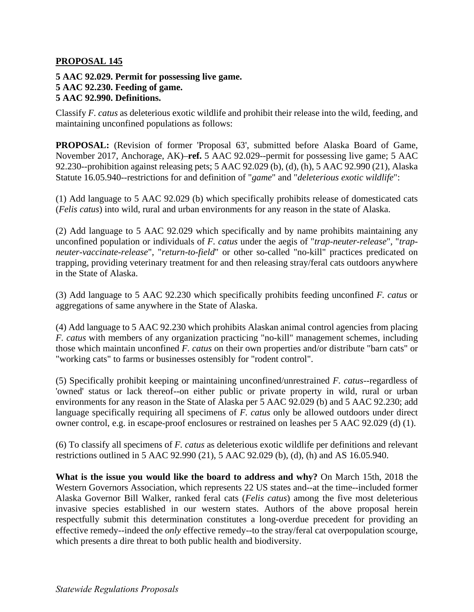## **PROPOSAL 145**

**5 AAC 92.029. Permit for possessing live game. 5 AAC 92.230. Feeding of game. 5 AAC 92.990. Definitions.** 

Classify *F. catus* as deleterious exotic wildlife and prohibit their release into the wild, feeding, and maintaining unconfined populations as follows:

**PROPOSAL:** (Revision of former 'Proposal 63', submitted before Alaska Board of Game, November 2017, Anchorage, AK)–**ref.** 5 AAC 92.029--permit for possessing live game; 5 AAC 92.230--prohibition against releasing pets; 5 AAC 92.029 (b), (d), (h), 5 AAC 92.990 (21), Alaska Statute 16.05.940--restrictions for and definition of "*game*" and "*deleterious exotic wildlife*":

(1) Add language to 5 AAC 92.029 (b) which specifically prohibits release of domesticated cats (*Felis catus*) into wild, rural and urban environments for any reason in the state of Alaska.

(2) Add language to 5 AAC 92.029 which specifically and by name prohibits maintaining any unconfined population or individuals of *F. catus* under the aegis of "*trap-neuter-release*", "*trapneuter-vaccinate-release*", "*return-to-field*" or other so-called "no-kill" practices predicated on trapping, providing veterinary treatment for and then releasing stray/feral cats outdoors anywhere in the State of Alaska.

(3) Add language to 5 AAC 92.230 which specifically prohibits feeding unconfined *F. catus* or aggregations of same anywhere in the State of Alaska.

(4) Add language to 5 AAC 92.230 which prohibits Alaskan animal control agencies from placing *F. catus* with members of any organization practicing "no-kill" management schemes, including those which maintain unconfined *F. catus* on their own properties and/or distribute "barn cats" or "working cats" to farms or businesses ostensibly for "rodent control".

(5) Specifically prohibit keeping or maintaining unconfined/unrestrained *F. catus*--regardless of 'owned' status or lack thereof--on either public or private property in wild, rural or urban environments for any reason in the State of Alaska per 5 AAC 92.029 (b) and 5 AAC 92.230; add language specifically requiring all specimens of *F. catus* only be allowed outdoors under direct owner control, e.g. in escape-proof enclosures or restrained on leashes per 5 AAC 92.029 (d) (1).

(6) To classify all specimens of *F. catus* as deleterious exotic wildlife per definitions and relevant restrictions outlined in 5 AAC 92.990 (21), 5 AAC 92.029 (b), (d), (h) and AS 16.05.940.

**What is the issue you would like the board to address and why?** On March 15th, 2018 the Western Governors Association, which represents 22 US states and--at the time--included former Alaska Governor Bill Walker, ranked feral cats (*Felis catus*) among the five most deleterious invasive species established in our western states. Authors of the above proposal herein respectfully submit this determination constitutes a long-overdue precedent for providing an effective remedy--indeed the *only* effective remedy--to the stray/feral cat overpopulation scourge, which presents a dire threat to both public health and biodiversity.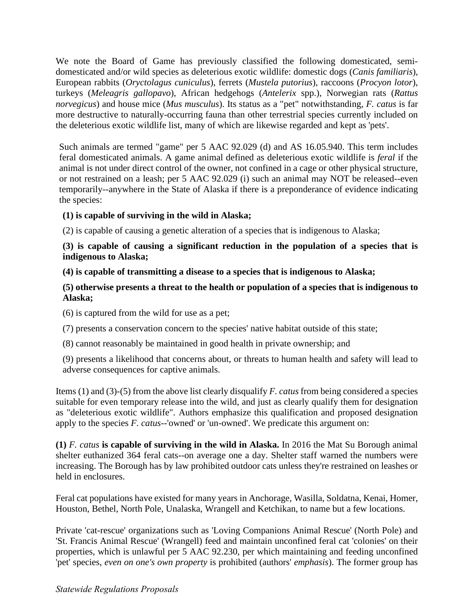We note the Board of Game has previously classified the following domesticated, semidomesticated and/or wild species as deleterious exotic wildlife: domestic dogs (*Canis familiaris*), European rabbits (*Oryctolagus cuniculus*), ferrets (*Mustela putorius*), raccoons (*Procyon lotor*), turkeys (*Meleagris gallopavo*), African hedgehogs (*Antelerix* spp.), Norwegian rats (*Rattus norvegicus*) and house mice (*Mus musculus*). Its status as a "pet" notwithstanding, *F. catus* is far more destructive to naturally-occurring fauna than other terrestrial species currently included on the deleterious exotic wildlife list, many of which are likewise regarded and kept as 'pets'.

Such animals are termed "game" per 5 AAC 92.029 (d) and AS 16.05.940. This term includes feral domesticated animals. A game animal defined as deleterious exotic wildlife is *feral* if the animal is not under direct control of the owner, not confined in a cage or other physical structure, or not restrained on a leash; per 5 AAC 92.029 (i) such an animal may NOT be released--even temporarily--anywhere in the State of Alaska if there is a preponderance of evidence indicating the species:

# **(1) is capable of surviving in the wild in Alaska;**

(2) is capable of causing a genetic alteration of a species that is indigenous to Alaska;

# **(3) is capable of causing a significant reduction in the population of a species that is indigenous to Alaska;**

# **(4) is capable of transmitting a disease to a species that is indigenous to Alaska;**

# **(5) otherwise presents a threat to the health or population of a species that is indigenous to Alaska;**

(6) is captured from the wild for use as a pet;

- (7) presents a conservation concern to the species' native habitat outside of this state;
- (8) cannot reasonably be maintained in good health in private ownership; and
- (9) presents a likelihood that concerns about, or threats to human health and safety will lead to adverse consequences for captive animals.

Items (1) and (3)-(5) from the above list clearly disqualify *F. catus* from being considered a species suitable for even temporary release into the wild, and just as clearly qualify them for designation as "deleterious exotic wildlife". Authors emphasize this qualification and proposed designation apply to the species *F. catus*--'owned' or 'un-owned'. We predicate this argument on:

**(1)** *F. catus* **is capable of surviving in the wild in Alaska.** In 2016 the Mat Su Borough animal shelter euthanized 364 feral cats--on average one a day. Shelter staff warned the numbers were increasing. The Borough has by law prohibited outdoor cats unless they're restrained on leashes or held in enclosures.

Feral cat populations have existed for many years in Anchorage, Wasilla, Soldatna, Kenai, Homer, Houston, Bethel, North Pole, Unalaska, Wrangell and Ketchikan, to name but a few locations.

Private 'cat-rescue' organizations such as 'Loving Companions Animal Rescue' (North Pole) and 'St. Francis Animal Rescue' (Wrangell) feed and maintain unconfined feral cat 'colonies' on their properties, which is unlawful per 5 AAC 92.230, per which maintaining and feeding unconfined 'pet' species, *even on one's own property* is prohibited (authors' *emphasis*). The former group has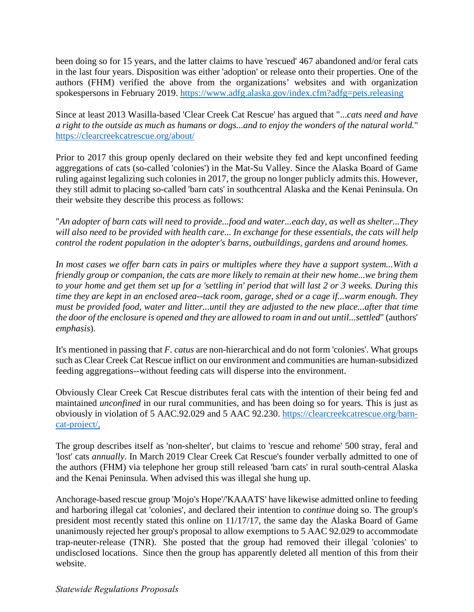been doing so for 15 years, and the latter claims to have 'rescued' 467 abandoned and/or feral cats in the last four years. Disposition was either 'adoption' or release onto their properties. One of the authors (FHM) verified the above from the organizations' websites and with organization spokespersons in February 2019.<https://www.adfg.alaska.gov/index.cfm?adfg=pets.releasing>

Since at least 2013 Wasilla-based 'Clear Creek Cat Rescue' has argued that "...*cats need and have a right to the outside as much as humans or dogs...and to enjoy the wonders of the natural world.*" <https://clearcreekcatrescue.org/about/>

Prior to 2017 this group openly declared on their website they fed and kept unconfined feeding aggregations of cats (so-called 'colonies') in the Mat-Su Valley. Since the Alaska Board of Game ruling against legalizing such colonies in 2017, the group no longer publicly admits this. However, they still admit to placing so-called 'barn cats' in southcentral Alaska and the Kenai Peninsula. On their website they describe this process as follows:

"*An adopter of barn cats will need to provide...food and water...each day, as well as shelter...They will also need to be provided with health care... In exchange for these essentials, the cats will help control the rodent population in the adopter's barns, outbuildings, gardens and around homes.* 

*In most cases we offer barn cats in pairs or multiples where they have a support system...With a friendly group or companion, the cats are more likely to remain at their new home...we bring them to your home and get them set up for a 'settling in' period that will last 2 or 3 weeks. During this time they are kept in an enclosed area--tack room, garage, shed or a cage if...warm enough. They must be provided food, water and litter...until they are adjusted to the new place...after that time the door of the enclosure is opened and they are allowed to roam in and out until...settled*" (authors' *emphasis*).

It's mentioned in passing that *F. catus* are non-hierarchical and do not form 'colonies'. What groups such as Clear Creek Cat Rescue inflict on our environment and communities are human-subsidized feeding aggregations--without feeding cats will disperse into the environment.

Obviously Clear Creek Cat Rescue distributes feral cats with the intention of their being fed and maintained *unconfined* in our rural communities, and has been doing so for years. This is just as obviously in violation of 5 AAC.92.029 and 5 AAC 92.230. [https://clearcreekcatrescue.org/barn](https://clearcreekcatrescue.org/barn-cat-project/%C2%A0)[cat-project/,](https://clearcreekcatrescue.org/barn-cat-project/%C2%A0)

The group describes itself as 'non-shelter', but claims to 'rescue and rehome' 500 stray, feral and 'lost' cats *annually*. In March 2019 Clear Creek Cat Rescue's founder verbally admitted to one of the authors (FHM) via telephone her group still released 'barn cats' in rural south-central Alaska and the Kenai Peninsula. When advised this was illegal she hung up.

Anchorage-based rescue group 'Mojo's Hope'/'KAAATS' have likewise admitted online to feeding and harboring illegal cat 'colonies', and declared their intention to *continue* doing so. The group's president most recently stated this online on 11/17/17, the same day the Alaska Board of Game unanimously rejected her group's proposal to allow exemptions to 5 AAC 92.029 to accommodate trap-neuter-release (TNR). She posted that the group had removed their illegal 'colonies' to undisclosed locations. Since then the group has apparently deleted all mention of this from their website.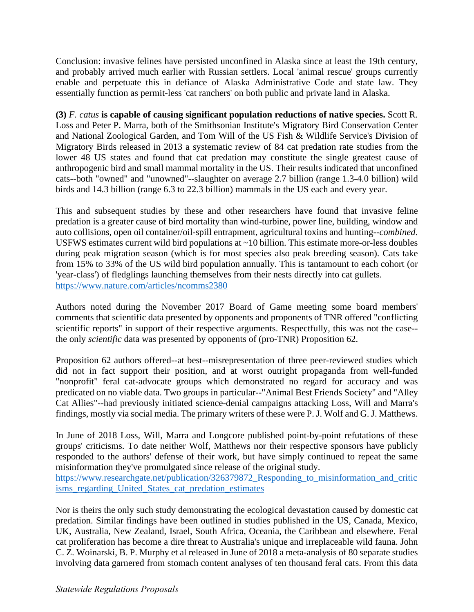Conclusion: invasive felines have persisted unconfined in Alaska since at least the 19th century, and probably arrived much earlier with Russian settlers. Local 'animal rescue' groups currently enable and perpetuate this in defiance of Alaska Administrative Code and state law. They essentially function as permit-less 'cat ranchers' on both public and private land in Alaska.

**(3)** *F. catus* **is capable of causing significant population reductions of native species.** Scott R. Loss and Peter P. Marra, both of the Smithsonian Institute's Migratory Bird Conservation Center and National Zoological Garden, and Tom Will of the US Fish & Wildlife Service's Division of Migratory Birds released in 2013 a systematic review of 84 cat predation rate studies from the lower 48 US states and found that cat predation may constitute the single greatest cause of anthropogenic bird and small mammal mortality in the US. Their results indicated that unconfined cats--both "owned" and "unowned"--slaughter on average 2.7 billion (range 1.3-4.0 billion) wild birds and 14.3 billion (range 6.3 to 22.3 billion) mammals in the US each and every year.

This and subsequent studies by these and other researchers have found that invasive feline predation is a greater cause of bird mortality than wind-turbine, power line, building, window and auto collisions, open oil container/oil-spill entrapment, agricultural toxins and hunting--*combined*. USFWS estimates current wild bird populations at ~10 billion. This estimate more-or-less doubles during peak migration season (which is for most species also peak breeding season). Cats take from 15% to 33% of the US wild bird population annually. This is tantamount to each cohort (or 'year-class') of fledglings launching themselves from their nests directly into cat gullets. <https://www.nature.com/articles/ncomms2380>

Authors noted during the November 2017 Board of Game meeting some board members' comments that scientific data presented by opponents and proponents of TNR offered "conflicting scientific reports" in support of their respective arguments. Respectfully, this was not the case- the only *scientific* data was presented by opponents of (pro-TNR) Proposition 62.

Proposition 62 authors offered--at best--misrepresentation of three peer-reviewed studies which did not in fact support their position, and at worst outright propaganda from well-funded "nonprofit" feral cat-advocate groups which demonstrated no regard for accuracy and was predicated on no viable data. Two groups in particular--"Animal Best Friends Society" and "Alley Cat Allies"--had previously initiated science-denial campaigns attacking Loss, Will and Marra's findings, mostly via social media. The primary writers of these were P. J. Wolf and G. J. Matthews.

In June of 2018 Loss, Will, Marra and Longcore published point-by-point refutations of these groups' criticisms. To date neither Wolf, Matthews nor their respective sponsors have publicly responded to the authors' defense of their work, but have simply continued to repeat the same misinformation they've promulgated since release of the original study.

https://www.researchgate.net/publication/326379872 Responding to misinformation and critic [isms\\_regarding\\_United\\_States\\_cat\\_predation\\_estimates](https://www.researchgate.net/publication/326379872_Responding_to_misinformation_and_criticisms_regarding_United_States_cat_predation_estimates) 

Nor is theirs the only such study demonstrating the ecological devastation caused by domestic cat predation. Similar findings have been outlined in studies published in the US, Canada, Mexico, UK, Australia, New Zealand, Israel, South Africa, Oceania, the Caribbean and elsewhere. Feral cat proliferation has become a dire threat to Australia's unique and irreplaceable wild fauna. John C. Z. Woinarski, B. P. Murphy et al released in June of 2018 a meta-analysis of 80 separate studies involving data garnered from stomach content analyses of ten thousand feral cats. From this data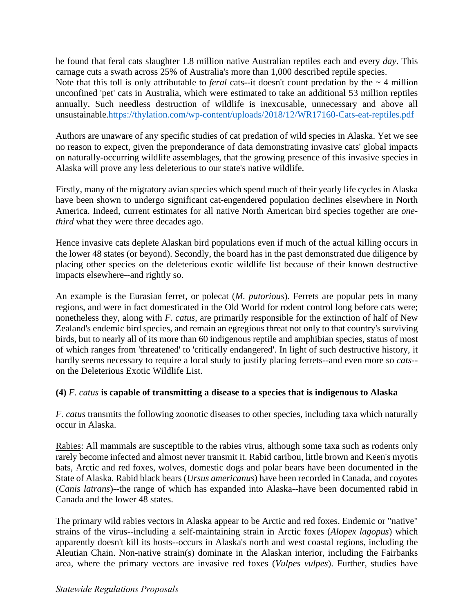he found that feral cats slaughter 1.8 million native Australian reptiles each and every *day*. This carnage cuts a swath across 25% of Australia's more than 1,000 described reptile species. Note that this toll is only attributable to *feral* cats--it doesn't count predation by the  $\sim$  4 million unconfined 'pet' cats in Australia, which were estimated to take an additional 53 million reptiles annually. Such needless destruction of wildlife is inexcusable, unnecessary and above all unsustainable[.https://thylation.com/wp-content/uploads/2018/12/WR17160-Cats-eat-reptiles.pdf](https://thylation.com/wp-content/uploads/2018/12/WR17160-Cats-eat-reptiles.pdf) 

Authors are unaware of any specific studies of cat predation of wild species in Alaska. Yet we see no reason to expect, given the preponderance of data demonstrating invasive cats' global impacts on naturally-occurring wildlife assemblages, that the growing presence of this invasive species in Alaska will prove any less deleterious to our state's native wildlife.

Firstly, many of the migratory avian species which spend much of their yearly life cycles in Alaska have been shown to undergo significant cat-engendered population declines elsewhere in North America. Indeed, current estimates for all native North American bird species together are *onethird* what they were three decades ago.

Hence invasive cats deplete Alaskan bird populations even if much of the actual killing occurs in the lower 48 states (or beyond). Secondly, the board has in the past demonstrated due diligence by placing other species on the deleterious exotic wildlife list because of their known destructive impacts elsewhere--and rightly so.

An example is the Eurasian ferret, or polecat (*M. putorious*). Ferrets are popular pets in many regions, and were in fact domesticated in the Old World for rodent control long before cats were; nonetheless they, along with *F. catus*, are primarily responsible for the extinction of half of New Zealand's endemic bird species, and remain an egregious threat not only to that country's surviving birds, but to nearly all of its more than 60 indigenous reptile and amphibian species, status of most of which ranges from 'threatened' to 'critically endangered'. In light of such destructive history, it hardly seems necessary to require a local study to justify placing ferrets--and even more so *cats*- on the Deleterious Exotic Wildlife List.

# **(4)** *F. catus* **is capable of transmitting a disease to a species that is indigenous to Alaska**

*F. catus* transmits the following zoonotic diseases to other species, including taxa which naturally occur in Alaska.

Rabies: All mammals are susceptible to the rabies virus, although some taxa such as rodents only rarely become infected and almost never transmit it. Rabid caribou, little brown and Keen's myotis bats, Arctic and red foxes, wolves, domestic dogs and polar bears have been documented in the State of Alaska. Rabid black bears (*Ursus americanus*) have been recorded in Canada, and coyotes (*Canis latrans*)--the range of which has expanded into Alaska--have been documented rabid in Canada and the lower 48 states.

The primary wild rabies vectors in Alaska appear to be Arctic and red foxes. Endemic or "native" strains of the virus--including a self-maintaining strain in Arctic foxes (*Alopex lagopus*) which apparently doesn't kill its hosts--occurs in Alaska's north and west coastal regions, including the Aleutian Chain. Non-native strain(s) dominate in the Alaskan interior, including the Fairbanks area, where the primary vectors are invasive red foxes (*Vulpes vulpes*). Further, studies have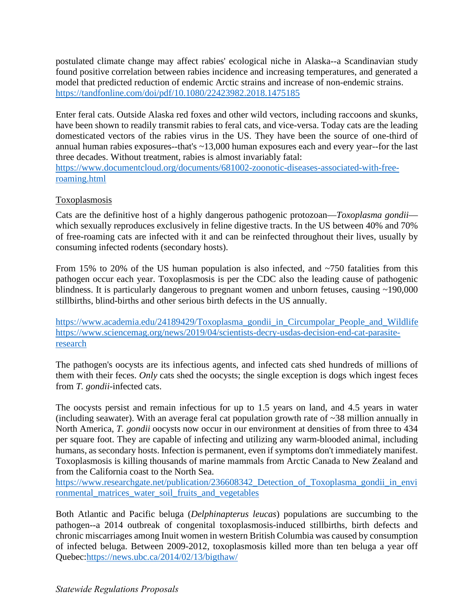postulated climate change may affect rabies' ecological niche in Alaska--a Scandinavian study found positive correlation between rabies incidence and increasing temperatures, and generated a model that predicted reduction of endemic Arctic strains and increase of non-endemic strains. <https://tandfonline.com/doi/pdf/10.1080/22423982.2018.1475185>

Enter feral cats. Outside Alaska red foxes and other wild vectors, including raccoons and skunks, have been shown to readily transmit rabies to feral cats, and vice-versa. Today cats are the leading domesticated vectors of the rabies virus in the US. They have been the source of one-third of annual human rabies exposures--that's ~13,000 human exposures each and every year--for the last three decades. Without treatment, rabies is almost invariably fatal:

[https://www.documentcloud.org/documents/681002-zoonotic-diseases-associated-with-free](https://www.documentcloud.org/documents/681002-zoonotic-diseases-associated-with-free-roaming.html)[roaming.html](https://www.documentcloud.org/documents/681002-zoonotic-diseases-associated-with-free-roaming.html) 

# **Toxoplasmosis**

Cats are the definitive host of a highly dangerous pathogenic protozoan—*Toxoplasma gondii* which sexually reproduces exclusively in feline digestive tracts. In the US between 40% and 70% of free-roaming cats are infected with it and can be reinfected throughout their lives, usually by consuming infected rodents (secondary hosts).

From 15% to 20% of the US human population is also infected, and  $\sim$ 750 fatalities from this pathogen occur each year. Toxoplasmosis is per the CDC also the leading cause of pathogenic blindness. It is particularly dangerous to pregnant women and unborn fetuses, causing ~190,000 stillbirths, blind-births and other serious birth defects in the US annually.

https://www.academia.edu/24189429/Toxoplasma\_gondii\_in\_Circumpolar\_People\_and\_Wildlife [https://www.sciencemag.org/news/2019/04/scientists-decry-usdas-decision-end-cat-parasite](https://www.sciencemag.org/news/2019/04/scientists-decry-usdas-decision-end-cat-parasite-research)[research](https://www.sciencemag.org/news/2019/04/scientists-decry-usdas-decision-end-cat-parasite-research) 

The pathogen's oocysts are its infectious agents, and infected cats shed hundreds of millions of them with their feces. *Only* cats shed the oocysts; the single exception is dogs which ingest feces from *T. gondii*-infected cats.

The oocysts persist and remain infectious for up to 1.5 years on land, and 4.5 years in water (including seawater). With an average feral cat population growth rate of ~38 million annually in North America, *T. gondii* oocysts now occur in our environment at densities of from three to 434 per square foot. They are capable of infecting and utilizing any warm-blooded animal, including humans, as secondary hosts. Infection is permanent, even if symptoms don't immediately manifest. Toxoplasmosis is killing thousands of marine mammals from Arctic Canada to New Zealand and from the California coast to the North Sea.

https://www.researchgate.net/publication/236608342 Detection of Toxoplasma gondii in envi [ronmental\\_matrices\\_water\\_soil\\_fruits\\_and\\_vegetables](https://www.researchgate.net/publication/236608342_Detection_of_Toxoplasma_gondii_in_environmental_matrices_water_soil_fruits_and_vegetables) 

Both Atlantic and Pacific beluga (*Delphinapterus leucas*) populations are succumbing to the pathogen--a 2014 outbreak of congenital toxoplasmosis-induced stillbirths, birth defects and chronic miscarriages among Inuit women in western British Columbia was caused by consumption of infected beluga. Between 2009-2012, toxoplasmosis killed more than ten beluga a year off Quebec[:https://news.ubc.ca/2014/02/13/bigthaw/](https://news.ubc.ca/2014/02/13/bigthaw/)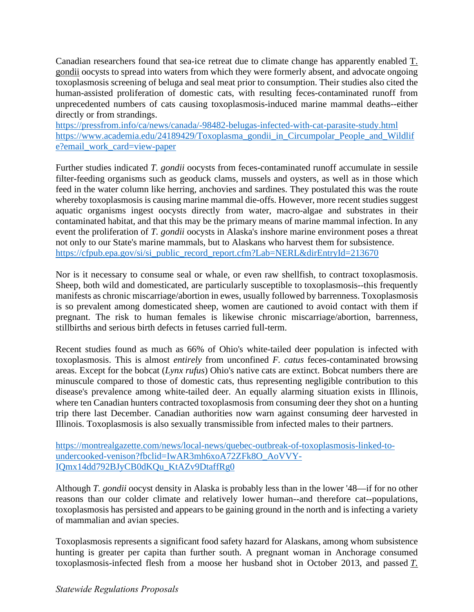Canadian researchers found that sea-ice retreat due to climate change has apparently enabled T. gondii oocysts to spread into waters from which they were formerly absent, and advocate ongoing toxoplasmosis screening of beluga and seal meat prior to consumption. Their studies also cited the human-assisted proliferation of domestic cats, with resulting feces-contaminated runoff from unprecedented numbers of cats causing toxoplasmosis-induced marine mammal deaths--either directly or from strandings.

<https://pressfrom.info/ca/news/canada/-98482-belugas-infected-with-cat-parasite-study.html> https://www.academia.edu/24189429/Toxoplasma\_gondii\_in\_Circumpolar\_People\_and\_Wildlif [e?email\\_work\\_card=view-paper](https://www.academia.edu/24189429/Toxoplasma_gondii_in_Circumpolar_People_and_Wildlife?email_work_card=view-paper) 

Further studies indicated *T. gondii* oocysts from feces-contaminated runoff accumulate in sessile filter-feeding organisms such as geoduck clams, mussels and oysters, as well as in those which feed in the water column like herring, anchovies and sardines. They postulated this was the route whereby toxoplasmosis is causing marine mammal die-offs. However, more recent studies suggest aquatic organisms ingest oocysts directly from water, macro-algae and substrates in their contaminated habitat, and that this may be the primary means of marine mammal infection. In any event the proliferation of *T. gondii* oocysts in Alaska's inshore marine environment poses a threat not only to our State's marine mammals, but to Alaskans who harvest them for subsistence. https://cfpub.epa.gov/si/si\_public\_record\_report.cfm?Lab=NERL&dirEntryId=213670

Nor is it necessary to consume seal or whale, or even raw shellfish, to contract toxoplasmosis. Sheep, both wild and domesticated, are particularly susceptible to toxoplasmosis--this frequently manifests as chronic miscarriage/abortion in ewes, usually followed by barrenness. Toxoplasmosis is so prevalent among domesticated sheep, women are cautioned to avoid contact with them if pregnant. The risk to human females is likewise chronic miscarriage/abortion, barrenness, stillbirths and serious birth defects in fetuses carried full-term.

Recent studies found as much as 66% of Ohio's white-tailed deer population is infected with toxoplasmosis. This is almost *entirely* from unconfined *F. catus* feces-contaminated browsing areas. Except for the bobcat (*Lynx rufus*) Ohio's native cats are extinct. Bobcat numbers there are minuscule compared to those of domestic cats, thus representing negligible contribution to this disease's prevalence among white-tailed deer. An equally alarming situation exists in Illinois, where ten Canadian hunters contracted toxoplasmosis from consuming deer they shot on a hunting trip there last December. Canadian authorities now warn against consuming deer harvested in Illinois. Toxoplasmosis is also sexually transmissible from infected males to their partners.

[https://montrealgazette.com/news/local-news/quebec-outbreak-of-toxoplasmosis-linked-to](https://montrealgazette.com/news/local-news/quebec-outbreak-of-toxoplasmosis-linked-to-undercooked-venison?fbclid=IwAR3mh6xoA72ZFk8O_AoVVY-IQmx14dd792BJyCB0dKQu_KtAZv9DtaffRg0)[undercooked-venison?fbclid=IwAR3mh6xoA72ZFk8O\\_AoVVY-](https://montrealgazette.com/news/local-news/quebec-outbreak-of-toxoplasmosis-linked-to-undercooked-venison?fbclid=IwAR3mh6xoA72ZFk8O_AoVVY-IQmx14dd792BJyCB0dKQu_KtAZv9DtaffRg0)[IQmx14dd792BJyCB0dKQu\\_KtAZv9DtaffRg0](https://montrealgazette.com/news/local-news/quebec-outbreak-of-toxoplasmosis-linked-to-undercooked-venison?fbclid=IwAR3mh6xoA72ZFk8O_AoVVY-IQmx14dd792BJyCB0dKQu_KtAZv9DtaffRg0) 

Although *T. gondii* oocyst density in Alaska is probably less than in the lower '48—if for no other reasons than our colder climate and relatively lower human--and therefore cat--populations, toxoplasmosis has persisted and appears to be gaining ground in the north and is infecting a variety of mammalian and avian species.

Toxoplasmosis represents a significant food safety hazard for Alaskans, among whom subsistence hunting is greater per capita than further south. A pregnant woman in Anchorage consumed toxoplasmosis-infected flesh from a moose her husband shot in October 2013, and passed *T.*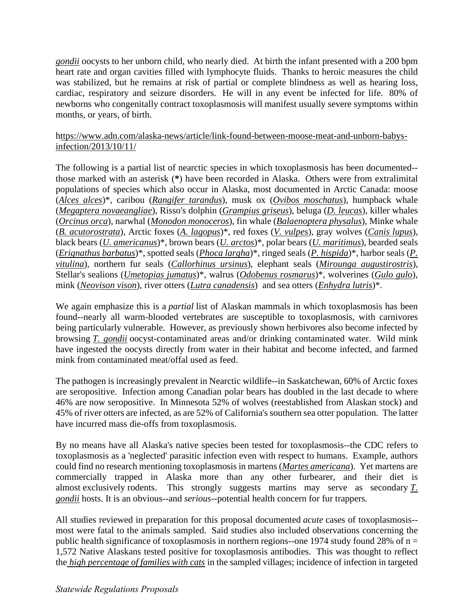*gondii* oocysts to her unborn child, who nearly died. At birth the infant presented with a 200 bpm heart rate and organ cavities filled with lymphocyte fluids. Thanks to heroic measures the child was stabilized, but he remains at risk of partial or complete blindness as well as hearing loss, cardiac, respiratory and seizure disorders. He will in any event be infected for life. 80% of newborns who congenitally contract toxoplasmosis will manifest usually severe symptoms within months, or years, of birth.

[https://www.adn.com/alaska-news/article/link-found-between-moose-meat-and-unborn-babys](https://urldefense.com/v3/__https:/www.adn.com/alaska-news/article/link-found-between-moose-meat-and-unborn-babys-infection/2013/10/11/__;!!J2_8gdp6gZQ!8lUiphfJVwBiMps6mpwicBDtnCEE8jFDScrwxXi9XGM0thYKS4blahbPUCiNF3mx-fepjq4$)[infection/2013/10/11/](https://urldefense.com/v3/__https:/www.adn.com/alaska-news/article/link-found-between-moose-meat-and-unborn-babys-infection/2013/10/11/__;!!J2_8gdp6gZQ!8lUiphfJVwBiMps6mpwicBDtnCEE8jFDScrwxXi9XGM0thYKS4blahbPUCiNF3mx-fepjq4$) 

The following is a partial list of nearctic species in which toxoplasmosis has been documented- those marked with an asterisk (**\***) have been recorded in Alaska. Others were from extralimital populations of species which also occur in Alaska, most documented in Arctic Canada: moose (*Alces alces*)\*, caribou (*Rangifer tarandus*), musk ox (*Ovibos moschatus*), humpback whale (*Megaptera novaeangliae*), Risso's dolphin (*Grampius griseus*), beluga (*D. leucas*), killer whales (*Orcinus orca*), narwhal (*Monodon monoceros*), fin whale (*Balaenoptera physalus*), Minke whale (*B. acutorostrata*), Arctic foxes (*A. lagopus*)\*, red foxes (*V. vulpes*), gray wolves (*Canis lupus*), black bears (*U. americanus*)\*, brown bears (*U. arctos*)\*, polar bears (*U. maritimus*), bearded seals (*Erignathus barbatus*)\*, spotted seals (*Phoca largha*)\*, ringed seals (*P. hispida*)\*, harbor seals (*P. vitulina*), northern fur seals (*Callorhinus ursinus*), elephant seals (*Mirounga augustirostris*), Stellar's sealions (*Umetopias jumatus*)\*, walrus (*Odobenus rosmarus*)\*, wolverines (*Gulo gulo*), mink (*Neovison vison*), river otters (*Lutra canadensis*) and sea otters (*Enhydra lutris*)\*.

We again emphasize this is a *partial* list of Alaskan mammals in which toxoplasmosis has been found--nearly all warm-blooded vertebrates are susceptible to toxoplasmosis, with carnivores being particularly vulnerable. However, as previously shown herbivores also become infected by browsing *T. gondii* oocyst-contaminated areas and/or drinking contaminated water. Wild mink have ingested the oocysts directly from water in their habitat and become infected, and farmed mink from contaminated meat/offal used as feed.

The pathogen is increasingly prevalent in Nearctic wildlife--in Saskatchewan, 60% of Arctic foxes are seropositive. Infection among Canadian polar bears has doubled in the last decade to where 46% are now seropositive. In Minnesota 52% of wolves (reestablished from Alaskan stock) and 45% of river otters are infected, as are 52% of California's southern sea otter population. The latter have incurred mass die-offs from toxoplasmosis.

By no means have all Alaska's native species been tested for toxoplasmosis--the CDC refers to toxoplasmosis as a 'neglected' parasitic infection even with respect to humans. Example, authors could find no research mentioning toxoplasmosis in martens (*Martes americana*). Yet martens are commercially trapped in Alaska more than any other furbearer, and their diet is almost exclusively rodents. This strongly suggests martins may serve as secondary *T. gondii* hosts. It is an obvious--and *serious*--potential health concern for fur trappers.

All studies reviewed in preparation for this proposal documented *acute* cases of toxoplasmosis- most were fatal to the animals sampled. Said studies also included observations concerning the public health significance of toxoplasmosis in northern regions--one 1974 study found 28% of  $n =$ 1,572 Native Alaskans tested positive for toxoplasmosis antibodies. This was thought to reflect the *high percentage of families with cats* in the sampled villages; incidence of infection in targeted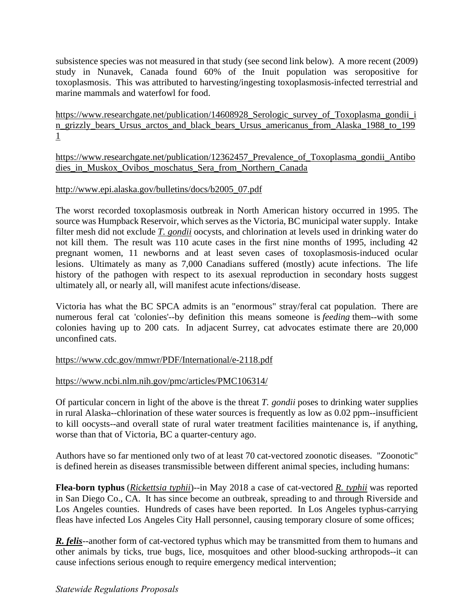subsistence species was not measured in that study (see second link below). A more recent (2009) study in Nunavek, Canada found 60% of the Inuit population was seropositive for toxoplasmosis. This was attributed to harvesting/ingesting toxoplasmosis-infected terrestrial and marine mammals and waterfowl for food.

[1](https://urldefense.com/v3/__https:/www.researchgate.net/publication/14608928_Serologic_survey_of_Toxoplasma_gondii_in_grizzly_bears_Ursus_arctos_and_black_bears_Ursus_americanus_from_Alaska_1988_to_1991__;!!J2_8gdp6gZQ!8lUiphfJVwBiMps6mpwicBDtnCEE8jFDScrwxXi9XGM0thYKS4blahbPUCiNF3mxnqVcMJE$)  https://www.researchgate.net/publication/14608928\_Serologic\_survey\_of\_Toxoplasma\_gondii\_i [n\\_grizzly\\_bears\\_Ursus\\_arctos\\_and\\_black\\_bears\\_Ursus\\_americanus\\_from\\_Alaska\\_1988\\_to\\_199](https://urldefense.com/v3/__https:/www.researchgate.net/publication/14608928_Serologic_survey_of_Toxoplasma_gondii_in_grizzly_bears_Ursus_arctos_and_black_bears_Ursus_americanus_from_Alaska_1988_to_1991__;!!J2_8gdp6gZQ!8lUiphfJVwBiMps6mpwicBDtnCEE8jFDScrwxXi9XGM0thYKS4blahbPUCiNF3mxnqVcMJE$) 

[https://www.researchgate.net/publication/12362457\\_Prevalence\\_of\\_Toxoplasma\\_gondii\\_Antibo](https://urldefense.com/v3/__https:/www.researchgate.net/publication/12362457_Prevalence_of_Toxoplasma_gondii_Antibodies_in_Muskox_Ovibos_moschatus_Sera_from_Northern_Canada__;!!J2_8gdp6gZQ!8lUiphfJVwBiMps6mpwicBDtnCEE8jFDScrwxXi9XGM0thYKS4blahbPUCiNF3mxVi8jz9Q$)  dies in Muskox Ovibos moschatus Sera from Northern Canada

## [http://www.epi.alaska.gov/bulletins/docs/b2005\\_07.pdf](http://www.epi.alaska.gov/bulletins/docs/b2005_07.pdf)

The worst recorded toxoplasmosis outbreak in North American history occurred in 1995. The source was Humpback Reservoir, which serves as the Victoria, BC municipal water supply. Intake filter mesh did not exclude *T. gondii* oocysts, and chlorination at levels used in drinking water do not kill them. The result was 110 acute cases in the first nine months of 1995, including 42 pregnant women, 11 newborns and at least seven cases of toxoplasmosis-induced ocular lesions. Ultimately as many as 7,000 Canadians suffered (mostly) acute infections. The life history of the pathogen with respect to its asexual reproduction in secondary hosts suggest ultimately all, or nearly all, will manifest acute infections/disease.

Victoria has what the BC SPCA admits is an "enormous" stray/feral cat population. There are numerous feral cat 'colonies'--by definition this means someone is *feeding* them--with some colonies having up to 200 cats. In adjacent Surrey, cat advocates estimate there are 20,000 unconfined cats.

#### [https://www.cdc.gov/mmwr/PDF/International/e-2118.pdf](https://urldefense.com/v3/__https:/www.cdc.gov/mmwr/PDF/International/e-2118.pdf__;!!J2_8gdp6gZQ!8lUiphfJVwBiMps6mpwicBDtnCEE8jFDScrwxXi9XGM0thYKS4blahbPUCiNF3mxSO6UFhM$)

#### [https://www.ncbi.nlm.nih.gov/pmc/articles/PMC106314/](https://urldefense.com/v3/__https:/www.ncbi.nlm.nih.gov/pmc/articles/PMC106314/__;!!J2_8gdp6gZQ!8lUiphfJVwBiMps6mpwicBDtnCEE8jFDScrwxXi9XGM0thYKS4blahbPUCiNF3mx_ClvIoA$)

Of particular concern in light of the above is the threat *T. gondii* poses to drinking water supplies in rural Alaska--chlorination of these water sources is frequently as low as 0.02 ppm--insufficient to kill oocysts--and overall state of rural water treatment facilities maintenance is, if anything, worse than that of Victoria, BC a quarter-century ago.

Authors have so far mentioned only two of at least 70 cat-vectored zoonotic diseases. "Zoonotic" is defined herein as diseases transmissible between different animal species, including humans:

**Flea-born typhus** (*Rickettsia typhii*)--in May 2018 a case of cat-vectored *R. typhii* was reported in San Diego Co., CA. It has since become an outbreak, spreading to and through Riverside and Los Angeles counties. Hundreds of cases have been reported. In Los Angeles typhus-carrying fleas have infected Los Angeles City Hall personnel, causing temporary closure of some offices;

**R. felis**--another form of cat-vectored typhus which may be transmitted from them to humans and other animals by ticks, true bugs, lice, mosquitoes and other blood-sucking arthropods--it can cause infections serious enough to require emergency medical intervention;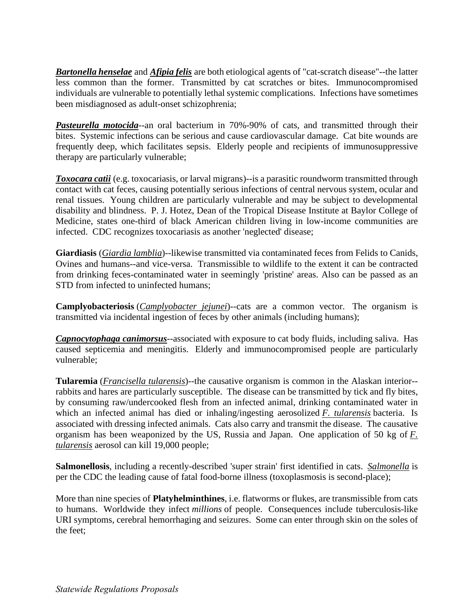*Bartonella henselae* and *Afipia felis* are both etiological agents of "cat-scratch disease"--the latter less common than the former. Transmitted by cat scratches or bites. Immunocompromised individuals are vulnerable to potentially lethal systemic complications. Infections have sometimes been misdiagnosed as adult-onset schizophrenia;

*Pasteurella motocida*--an oral bacterium in 70%-90% of cats, and transmitted through their bites. Systemic infections can be serious and cause cardiovascular damage. Cat bite wounds are frequently deep, which facilitates sepsis. Elderly people and recipients of immunosuppressive therapy are particularly vulnerable;

*Toxocara catii* (e.g. toxocariasis, or larval migrans)--is a parasitic roundworm transmitted through contact with cat feces, causing potentially serious infections of central nervous system, ocular and renal tissues. Young children are particularly vulnerable and may be subject to developmental disability and blindness. P. J. Hotez, Dean of the Tropical Disease Institute at Baylor College of Medicine, states one-third of black American children living in low-income communities are infected. CDC recognizes toxocariasis as another 'neglected' disease;

**Giardiasis** (*Giardia lamblia*)--likewise transmitted via contaminated feces from Felids to Canids, Ovines and humans--and vice-versa. Transmissible to wildlife to the extent it can be contracted from drinking feces-contaminated water in seemingly 'pristine' areas. Also can be passed as an STD from infected to uninfected humans;

**Camplyobacteriosis** (*Camplyobacter jejunei*)--cats are a common vector. The organism is transmitted via incidental ingestion of feces by other animals (including humans);

*Capnocytophaga canimorsus*--associated with exposure to cat body fluids, including saliva. Has caused septicemia and meningitis. Elderly and immunocompromised people are particularly vulnerable;

**Tularemia** (*Francisella tularensis*)--the causative organism is common in the Alaskan interior- rabbits and hares are particularly susceptible. The disease can be transmitted by tick and fly bites, by consuming raw/undercooked flesh from an infected animal, drinking contaminated water in which an infected animal has died or inhaling/ingesting aerosolized *F. tularensis* bacteria. Is associated with dressing infected animals. Cats also carry and transmit the disease. The causative organism has been weaponized by the US, Russia and Japan. One application of 50 kg of *F. tularensis* aerosol can kill 19,000 people;

**Salmonellosis**, including a recently-described 'super strain' first identified in cats. *Salmonella* is per the CDC the leading cause of fatal food-borne illness (toxoplasmosis is second-place);

More than nine species of **Platyhelminthines**, i.e. flatworms or flukes, are transmissible from cats to humans. Worldwide they infect *millions* of people. Consequences include tuberculosis-like URI symptoms, cerebral hemorrhaging and seizures. Some can enter through skin on the soles of the feet;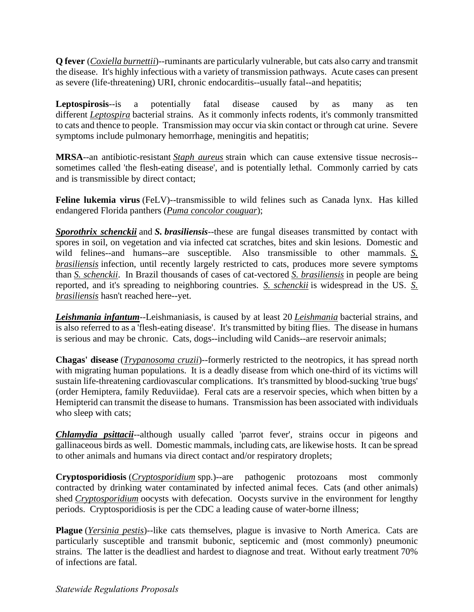**Q fever** (*Coxiella burnettii*)--ruminants are particularly vulnerable, but cats also carry and transmit the disease. It's highly infectious with a variety of transmission pathways. Acute cases can present as severe (life-threatening) URI, chronic endocarditis--usually fatal--and hepatitis;

**Leptospirosis**--is a potentially fatal disease caused by as many as ten different *Leptospira* bacterial strains. As it commonly infects rodents, it's commonly transmitted to cats and thence to people. Transmission may occur via skin contact or through cat urine. Severe symptoms include pulmonary hemorrhage, meningitis and hepatitis;

**MRSA**--an antibiotic-resistant *Staph aureus* strain which can cause extensive tissue necrosis- sometimes called 'the flesh-eating disease', and is potentially lethal. Commonly carried by cats and is transmissible by direct contact;

**Feline lukemia virus** (FeLV)--transmissible to wild felines such as Canada lynx. Has killed endangered Florida panthers (*Puma concolor couguar*);

*Sporothrix schenckii* and *S. brasiliensis*--these are fungal diseases transmitted by contact with spores in soil, on vegetation and via infected cat scratches, bites and skin lesions. Domestic and wild felines--and humans--are susceptible. Also transmissible to other mammals. *S. brasiliensis* infection, until recently largely restricted to cats, produces more severe symptoms than *S. schenckii*. In Brazil thousands of cases of cat-vectored *S. brasiliensis* in people are being reported, and it's spreading to neighboring countries. *S. schenckii* is widespread in the US. *S. brasiliensis* hasn't reached here--yet.

*Leishmania infantum*--Leishmaniasis, is caused by at least 20 *Leishmania* bacterial strains, and is also referred to as a 'flesh-eating disease'. It's transmitted by biting flies. The disease in humans is serious and may be chronic. Cats, dogs--including wild Canids--are reservoir animals;

**Chagas' disease** (*Trypanosoma cruzii*)--formerly restricted to the neotropics, it has spread north with migrating human populations. It is a deadly disease from which one-third of its victims will sustain life-threatening cardiovascular complications. It's transmitted by blood-sucking 'true bugs' (order Hemiptera, family Reduviidae). Feral cats are a reservoir species, which when bitten by a Hemipterid can transmit the disease to humans. Transmission has been associated with individuals who sleep with cats;

*Chlamydia psittacii*--although usually called 'parrot fever', strains occur in pigeons and gallinaceous birds as well. Domestic mammals, including cats, are likewise hosts. It can be spread to other animals and humans via direct contact and/or respiratory droplets;

**Cryptosporidiosis** (*Cryptosporidium* spp.)--are pathogenic protozoans most commonly contracted by drinking water contaminated by infected animal feces. Cats (and other animals) shed *Cryptosporidium* oocysts with defecation. Oocysts survive in the environment for lengthy periods. Cryptosporidiosis is per the CDC a leading cause of water-borne illness;

**Plague** (*Yersinia pestis*)--like cats themselves, plague is invasive to North America. Cats are particularly susceptible and transmit bubonic, septicemic and (most commonly) pneumonic strains. The latter is the deadliest and hardest to diagnose and treat. Without early treatment 70% of infections are fatal.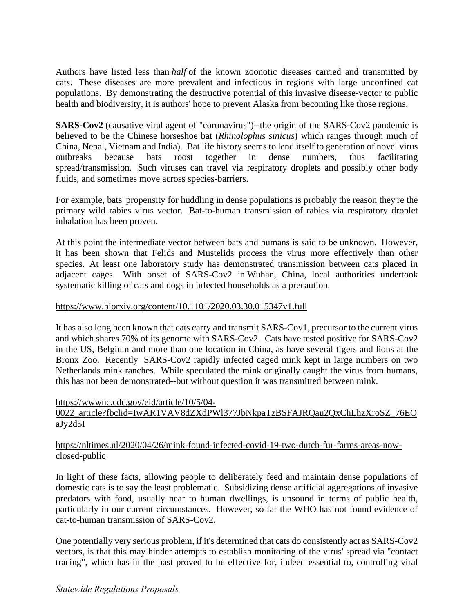Authors have listed less than *half* of the known zoonotic diseases carried and transmitted by cats. These diseases are more prevalent and infectious in regions with large unconfined cat populations. By demonstrating the destructive potential of this invasive disease-vector to public health and biodiversity, it is authors' hope to prevent Alaska from becoming like those regions.

**SARS-Cov2** (causative viral agent of "coronavirus")--the origin of the SARS-Cov2 pandemic is believed to be the Chinese horseshoe bat (*Rhinolophus sinicus*) which ranges through much of China, Nepal, Vietnam and India). Bat life history seems to lend itself to generation of novel virus outbreaks because bats roost together in dense numbers, thus facilitating spread/transmission. Such viruses can travel via respiratory droplets and possibly other body fluids, and sometimes move across species-barriers.

For example, bats' propensity for huddling in dense populations is probably the reason they're the primary wild rabies virus vector. Bat-to-human transmission of rabies via respiratory droplet inhalation has been proven.

At this point the intermediate vector between bats and humans is said to be unknown. However, it has been shown that Felids and Mustelids process the virus more effectively than other species. At least one laboratory study has demonstrated transmission between cats placed in adjacent cages. With onset of SARS-Cov2 in Wuhan, China, local authorities undertook systematic killing of cats and dogs in infected households as a precaution.

### [https://www.biorxiv.org/content/10.1101/2020.03.30.015347v1.full](https://urldefense.com/v3/__https:/www.biorxiv.org/content/10.1101/2020.03.30.015347v1.full__;!!J2_8gdp6gZQ!8lUiphfJVwBiMps6mpwicBDtnCEE8jFDScrwxXi9XGM0thYKS4blahbPUCiNF3mxOy4uYQk$)

It has also long been known that cats carry and transmit SARS-Cov1, precursor to the current virus and which shares 70% of its genome with SARS-Cov2. Cats have tested positive for SARS-Cov2 in the US, Belgium and more than one location in China, as have several tigers and lions at the Bronx Zoo. Recently SARS-Cov2 rapidly infected caged mink kept in large numbers on two Netherlands mink ranches. While speculated the mink originally caught the virus from humans, this has not been demonstrated--but without question it was transmitted between mink.

#### [https://wwwnc.cdc.gov/eid/article/10/5/04-](https://urldefense.com/v3/__https:/wwwnc.cdc.gov/eid/article/10/5/04-0022_article?fbclid=IwAR1VAV8dZXdPWl377JbNkpaTzBSFAJRQau2QxChLhzXroSZ_76EOaJy2d5I__;!!J2_8gdp6gZQ!8lUiphfJVwBiMps6mpwicBDtnCEE8jFDScrwxXi9XGM0thYKS4blahbPUCiNF3mxEHHBM-M$)

# 0022\_article?fbclid=IwAR1VAV8dZXdPWl377JbNkpaTzBSFAJRQau2QxChLhzXroSZ\_76EO [aJy2d5I](https://urldefense.com/v3/__https:/wwwnc.cdc.gov/eid/article/10/5/04-0022_article?fbclid=IwAR1VAV8dZXdPWl377JbNkpaTzBSFAJRQau2QxChLhzXroSZ_76EOaJy2d5I__;!!J2_8gdp6gZQ!8lUiphfJVwBiMps6mpwicBDtnCEE8jFDScrwxXi9XGM0thYKS4blahbPUCiNF3mxEHHBM-M$)

# [https://nltimes.nl/2020/04/26/mink-found-infected-covid-19-two-dutch-fur-farms-areas-now](https://urldefense.com/v3/__https:/nltimes.nl/2020/04/26/mink-found-infected-covid-19-two-dutch-fur-farms-areas-now-closed-public__;!!J2_8gdp6gZQ!8lUiphfJVwBiMps6mpwicBDtnCEE8jFDScrwxXi9XGM0thYKS4blahbPUCiNF3mxzEYfZ0o$)[closed-public](https://urldefense.com/v3/__https:/nltimes.nl/2020/04/26/mink-found-infected-covid-19-two-dutch-fur-farms-areas-now-closed-public__;!!J2_8gdp6gZQ!8lUiphfJVwBiMps6mpwicBDtnCEE8jFDScrwxXi9XGM0thYKS4blahbPUCiNF3mxzEYfZ0o$)

In light of these facts, allowing people to deliberately feed and maintain dense populations of domestic cats is to say the least problematic. Subsidizing dense artificial aggregations of invasive predators with food, usually near to human dwellings, is unsound in terms of public health, particularly in our current circumstances. However, so far the WHO has not found evidence of cat-to-human transmission of SARS-Cov2.

One potentially very serious problem, if it's determined that cats do consistently act as SARS-Cov2 vectors, is that this may hinder attempts to establish monitoring of the virus' spread via "contact tracing", which has in the past proved to be effective for, indeed essential to, controlling viral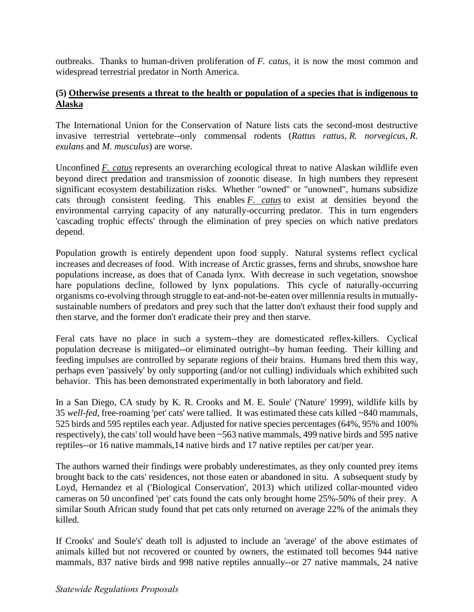outbreaks. Thanks to human-driven proliferation of *F. catus*, it is now the most common and widespread terrestrial predator in North America.

## **(5) Otherwise presents a threat to the health or population of a species that is indigenous to Alaska**

The International Union for the Conservation of Nature lists cats the second-most destructive invasive terrestrial vertebrate--only commensal rodents (*Rattus rattus*, *R. norvegicus*, *R. exulans* and *M. musculus*) are worse.

Unconfined *F. catus* represents an overarching ecological threat to native Alaskan wildlife even beyond direct predation and transmission of zoonotic disease. In high numbers they represent significant ecosystem destabilization risks. Whether "owned" or "unowned", humans subsidize cats through consistent feeding. This enables *F. catus* to exist at densities beyond the environmental carrying capacity of any naturally-occurring predator. This in turn engenders 'cascading trophic effects' through the elimination of prey species on which native predators depend.

Population growth is entirely dependent upon food supply. Natural systems reflect cyclical increases and decreases of food. With increase of Arctic grasses, ferns and shrubs, snowshoe hare populations increase, as does that of Canada lynx. With decrease in such vegetation, snowshoe hare populations decline, followed by lynx populations. This cycle of naturally-occurring organisms co-evolving through struggle to eat-and-not-be-eaten over millennia results in mutuallysustainable numbers of predators and prey such that the latter don't exhaust their food supply and then starve, and the former don't eradicate their prey and then starve.

Feral cats have no place in such a system--they are domesticated reflex-killers. Cyclical population decrease is mitigated--or eliminated outright--by human feeding. Their killing and feeding impulses are controlled by separate regions of their brains. Humans bred them this way, perhaps even 'passively' by only supporting (and/or not culling) individuals which exhibited such behavior. This has been demonstrated experimentally in both laboratory and field.

In a San Diego, CA study by K. R. Crooks and M. E. Soule' ('Nature' 1999), wildlife kills by 35 *well-fed*, free-roaming 'pet' cats' were tallied. It was estimated these cats killed ~840 mammals, 525 birds and 595 reptiles each year. Adjusted for native species percentages (64%, 95% and 100% respectively), the cats' toll would have been ~563 native mammals, 499 native birds and 595 native reptiles--or 16 native mammals,14 native birds and 17 native reptiles per cat/per year.

The authors warned their findings were probably underestimates, as they only counted prey items brought back to the cats' residences, not those eaten or abandoned in situ. A subsequent study by Loyd, Hernandez et al ('Biological Conservation', 2013) which utilized collar-mounted video cameras on 50 unconfined 'pet' cats found the cats only brought home 25%-50% of their prey. A similar South African study found that pet cats only returned on average 22% of the animals they killed.

If Crooks' and Soule's' death toll is adjusted to include an 'average' of the above estimates of animals killed but not recovered or counted by owners, the estimated toll becomes 944 native mammals, 837 native birds and 998 native reptiles annually--or 27 native mammals, 24 native